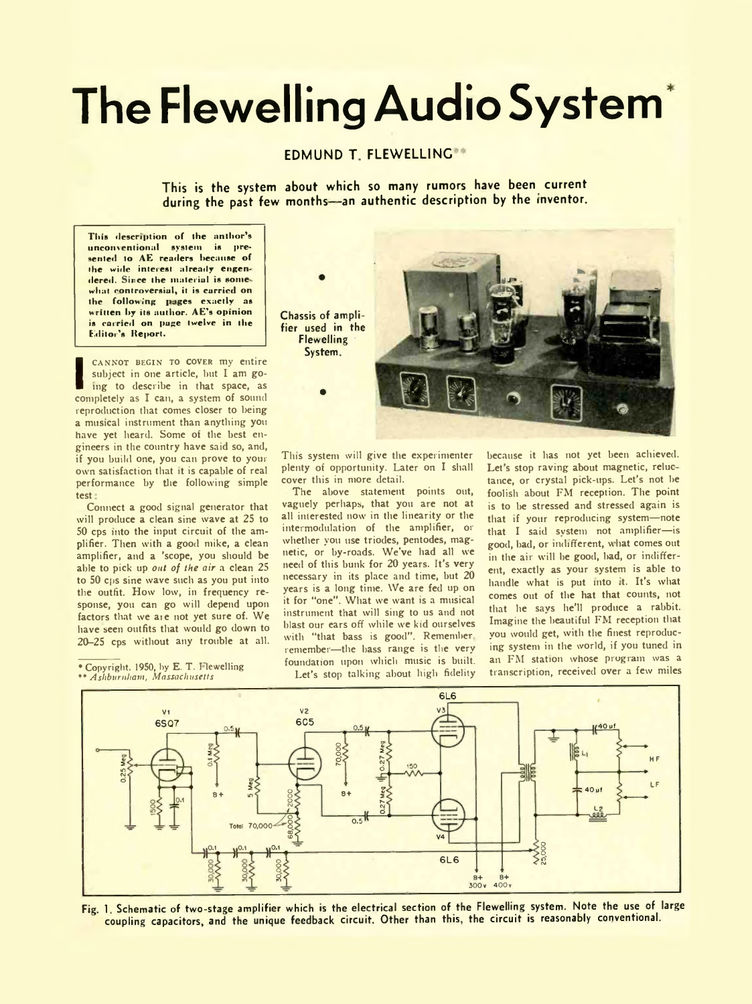# **The Flewelling Audio System**

## **EDMUND T. FLEWELLING<sup>®</sup>**

**This is the system about which so many rumors have been current during the past few months--an authentic description by the inventor.**

This description of the anthor's unconventional system is presented to AE readers because of the wide interest already engendered. Since the material is somewhat controversial, it is carried on the following pages exactly as written by its author. AE's opinion is carried on page twelve in the Editor's Report.

CANNOT BEGIN TO COVER my entire<br>
subject in one article, but I am go-<br>
ing to describe in that space, as<br>
completely as I can, a system of sound cannot begin to cover my entire subject in one article, but I am going to describe in that space, as reproduction that comes closer to being a musical instrument than anything you have yet heard. Some of the best engineers in the country have said so, and, if you build one, you can prove to your own satisfaction that it is capable of real performance by the following simple test

Connect a good signal generator that will produce a clean sine wave at 25 to 50 cps into the input circuit of the amplifier. Then with a good mike, a clean amplifier, and a 'scope, you should be able to pick up *out of the air* a clean 25 to 50 cps sine wave such as you put into the outfit. How low, in frequency response, you can go will depend upon factors that we aie not yet sure of. We have seen outfits that would go down to 20-25 cps without any trouble at all.

\* Copyright, 1950, by E. T. I lewelling \* \* *Ashburnham, Massachusetts*



This system will give the experimenter plenty of opportunity. Later on I shall cover this in more detail.

The above statement points out, vaguely perhaps, that you are not at all interested now in the linearity or the intermodulation of the amplifier, or whether you use triodes, pentodes, magnetic, or by-roads. We've had all we need of this bunk for 20 years. It's very necessary in its place and time, but 20 years is a long time. We are fed up on it for "one". What we want is a musical instrument that will sing to us and not blast our ears off while we kid ourselves with "that bass is good". Remember, remember—the bass range is the very foundation upon which music is built. Let's stop talking about high fidelity because it has not yet been achieved. Let's stop raving about magnetic, reluc tance, or crystal pick-ups. Let's not be foolish about FM reception. The point is to be stressed and stressed again is that if your reproducing system—note that I said system not amplifier—is good, bad, or indifferent, what comes out in the air will be good, bad, or indifferent, exactly as your system is able to handle what is put into it. It's what comes out of the hat that counts, not that he says he'll produce a rabbit. Imagine the beautiful FM reception that you would get, with the finest reproducing system in the world, if you tuned in an FM station whose program was a transcription, received over a few miles



Fig. 1. Schematic of two-stage amplifier which is the electrical section of the Flewelling system. Note the use of large coupling capacitors, and the unique feedback circuit. Other than this, the circuit is reasonably conventional.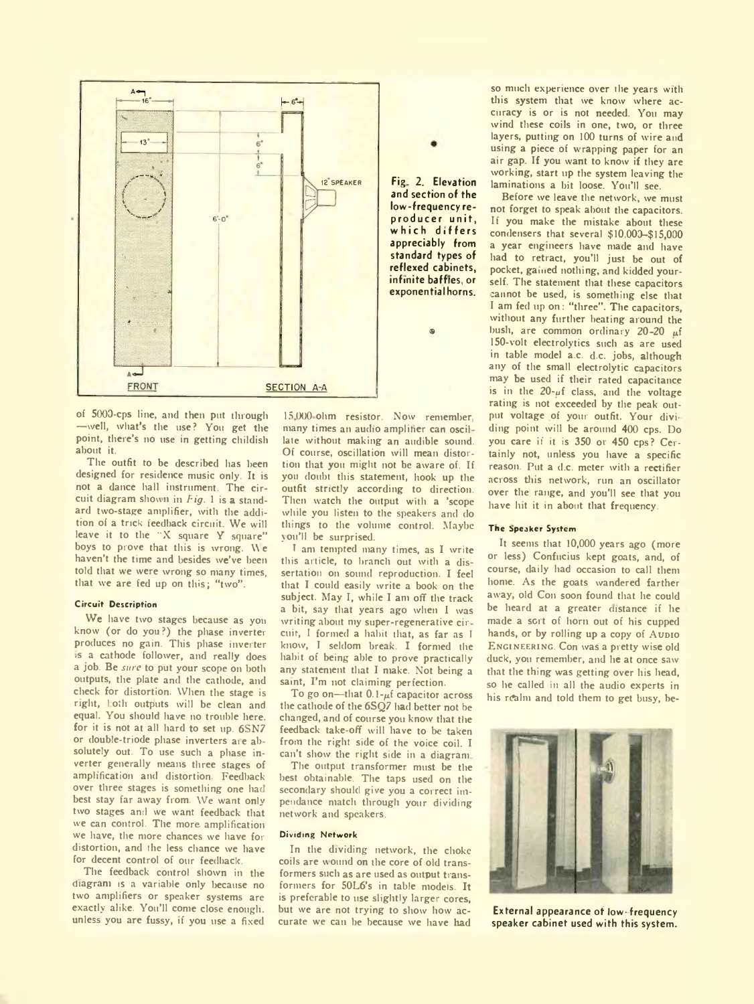

of 5000-cps line, and then put through —well, what's the use? You get the point, there's no use in getting childish about it.

The outfit to be described has been designed for residence music only. It is not a dance hall instrument. The circuit diagram shown in *Fig.* 1 is a standard two-stage amplifier, with the addition of a trick feedback circuit. We will leave it to the "X square Y square" boys to prove that this is wrong. We haven't the time and besides we've been told that we were wrong so many times, that we are fed up on this; "two".

#### Circuit Description

We have two stages because as you know (or do you?) the phase inverter produces no gain. This phase inverter -s a cathode follower, and really does a job. Be *sure* to put your scope on both outputs, the plate and the cathode, and check for distortion. When the stage is right, loth outputs will be clean and equal. You should have no trouble here, for it is not at all hard to set up. 6SN7 or double-triode phase inverters are absolutely out. To use such a phase inverter generally means three stages of amplification and distortion. Feedback over three stages is something one had best stay far away from. We want only two stages and we want feedback that we can control. The more amplification we have, the more chances we have for distortion, and the less chance we have for decent control of our feedback.

The feedback control shown in the diagram is a variable only because no two amplifiers or speaker systems are exactly alike. You'll come close enough, unless you are fussy, if you use a fixed 15 000 ohm resistor. Now remember, many times an audio ampliher can oscillate without making an audible sound. Of course, oscillation will mean distortion that you might not be aware of. If you doubt this statement, hook up the outfit strictly according to direction. Then watch the output with a 'scope while you listen to the speakers and do things to the volume control. Maybe you'll be surprised.

T am tempted many times, as I write this article, to branch out with a dissertation on sound reproduction. I feel that I could easily write a book on the subject. May I, while I am off the track a bit, say that years ago when I was writing about my super-regenerative cir cuir, I formed a habit that, as far as I know, I seldom breax. I formed the habit of being able to prove practically any statement that I make. Not being a saint, I'm not claiming perfection.

To go on—that  $0.1-\mu f$  capacitor across the cathode of the 6SQ7 had better not be changed, and of course you know that the feedback take-off will have to be taken from the right side of the voice coil. I can't show the right side in a diagram

The output transformer must be the best obtainable. The taps used on the secondary should give you a correct impendance match through your dividing network and speakers.

### Dividing Network

In the dividing network, the choke coils are wound on the core of old transformers such as are used as output transformers for 50L6's in tabie models. It is preferable to use slightly larger cores, but we are not trying to show how accurate we can be because we have had

so much experience over the years with this system that we know where accuracy is or is not needed. You may wind these coils in one, two, or three layers, putting on 100 turns of wire and using a piece of wrapping paper for an air gap. If you want to know if they are working, start up the system leaving the laminations a bit loose. You'll see.

Before we leave the network, we must not forget to speak about the capacitors. If you make the mistake about these condensers that several \$10,000-\$15,000 a year engineers have made and have had to retract, you'll just be out of pocket, gamed nothing, and kidded yourself. The statement that these capacitors cannot be used, is something else that I am fed up on: "three". The capacitors, without any further heating around the bush, are common ordinary  $20-20$   $\mu$ f 150-volt electrolytics such as are used in table model a.c. d.c. jobs, although any of the small electrolytic capacitors may be used if their rated capacitance is in the  $20-y$ f class, and the voltage rating is not exceeded by the peak output voltage of your outfit. Your dividing point will be around 400 cps. Do you care if it is 350 or 450 cps? Certainly not, unless you have a specific reason. Put a d.c. meter with a rectifier across this network, run an oscillator over the range, and you'll see that you have hit it in about that frequency.

#### The Speaker System

It seems that 10,000 years ago (more or less) Confucius kept goats, and, of course, daily had occasion to call them home. As the goats wandered farther away, old Con soon found that he could be heard at a greater distance if he made a sort of horn out of his cupped hands, or by rolling up a copy of Aupio ENGINEERING. Con was a pretty wise old duck, you remember, and he at once saw that the thing was getting over his head, so he called in all the audio experts in his realm and told them to get busy, be-



External appearance of low- frequency speaker cabinet used with this system.

and section of the low-frequency reproducer unit, which differs appreciably from standard types of reflexed cabinets, infinite baffles, or exponential horns.

 $^{\circ}$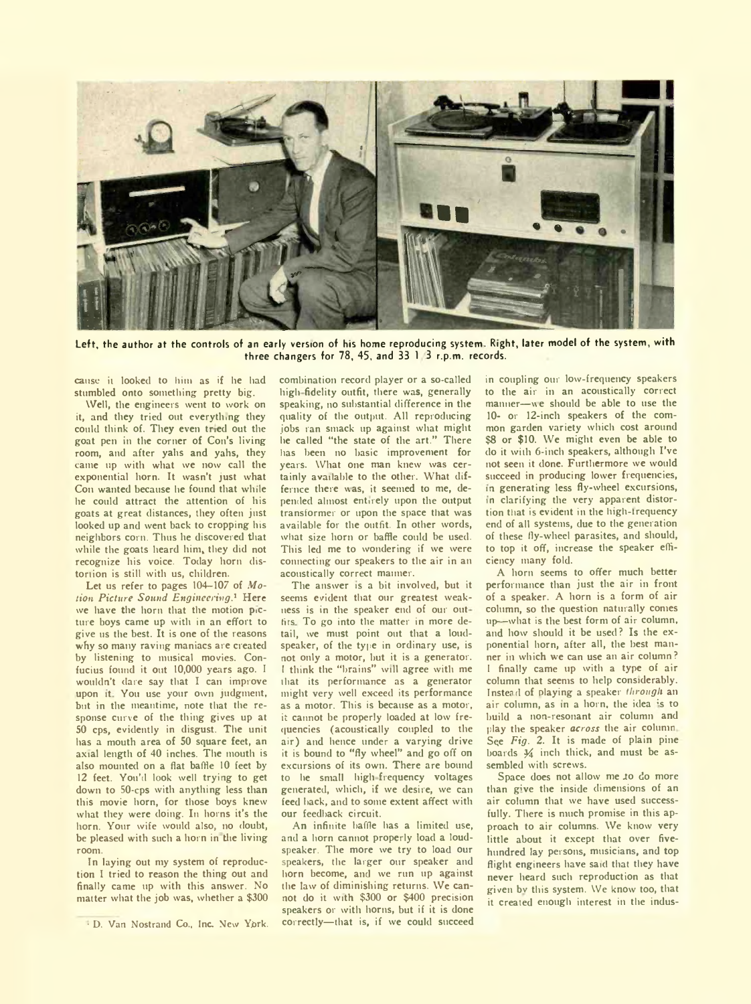

Left, the author at the controls of an early version of his home reproducing system. Right, later model of the system, with three changers for 78, 45, and 33 1 3 r.p.m. records.

cause it looked to him as if he had stumbled onto something pretty big.

Well, the engineers went to work on it, and they tried out everything they could think of. They even tried out the goat pen in the corner of Con's living room, and after yahs and yahs, they came np with what we now call the exponential horn. It wasn't just what Con wanted because he found that while he could attract the attention of his goats at great distances, they often just looked up and went back to cropping his neighbors corn. Thus he discovered that while the goats heard him, they did not recognize his voice. Today horn distortion is still with us, children.

Let us refer to pages 104—107 of *Motion Picture Sound Engineering.1* Here we have the horn that the motion picture boys came up with in an effort to give us the best. It is one of the reasons why so many raving maniacs are created by listening to musical movies. Confucius found it out 10,000 years ago. I wouldn't dare say that I can improve upon it You use your own judgment, but in the meantime, note that the response curve of the thing gives up at 50 cps, evidently in disgust. The unit has a mouth area of 50 square feet, an axial length of 40 inches. The mouth is also mounted on a flat baffle 10 feet by 12 feet. You'd look well trying to get down to 50-cps with anything less than this movie horn, for those boys knew what they were doing. In horns it's the horn. Yonr wife would also, no doubt, be pleased with such a horn in the living room.

In laying out my system of reproduction I tried to reason the thing out and finally came up with this answer. No matter what the job was, whether a \$300

combination record player or a so-called high fidelity outfit, there was, generally speaking, no substantial difference in the quality of the output. All reproducing jobs ran smack up against what might he called "the state of the art." There has been no basic improvement for years. What one man knew was certainly available to the other. What differnce there was, it seemed to me, depended almost entirely upon the output transformer or upon the space that was available for the outfit. In other words, what size horn or baffle could be used. This led me to wondering if we were connecting our speakers to the air in an acoustically correct maimer.

The answer is a bit involved, but it seems evident that our greatest weakness is in the speaker end of our out fits To go into the matter in more detail, we must point out that a loudspeaker, of the type in ordinary use, is not only a motor, but it is a generator. I think the "brains" will agree with me that its performance as a generator might very well exceed its performance as a motor. This is because as a motor, it cannot be properly loaded at low frequencies (acoustically coupled to the air) and hence under a varying drive it is bound to "fly wheel" and go off on excursions of its own. There are bound to he small high frequency voltages generated, which, if we desire, we can feed hack, and to some extent affect with our feedback circuit.

An infinite baffle has a limited use, and a horn cannot properly load a loudspeaker. The more we try to load our speakers, the larger our speaker and horn become, and we run up against the law of diminishing returns. We cannot do it with \$300 or \$400 precision speakers or with horns, but if it is done correctly—that is, if we could succeed

in coupling our low-frequency speakers to the air in an acoustically correct manner-we should be able to use the 10- or 12-inch speakers of the common garden variety which cost around \$8 or \$10. We might even be able to do it with 6-inch speakers, although I've not seen it done. Furthermore we would succeed in producing lower frequencies, in generating less fly-wheel excursions, in clarifying the very apparent distortion that is evident in the high-frequency end of all systems, due to the generation of these fly-wheel parasites, and should, to top it off, increase the speaker efficiency many fold.

A horn seems to offer much better performance than just the air in front of a speaker. A horn is a form of air column, so the question naturally conies up--what is the best form of air column, and how should it be used? Is the exponential horn, after all, the best manner in which we can use an air column? 1 finally came up with a type of air column that seems to help considerably. Instead of playing a speaker *through* an air column, as in a horn, the idea is to build a non-resonant air column and play the speaker *across* the air column See *Fig.* 2. It is made of plain pine boards 34 inch thick, and must be assembled with screws.

Space does not allow me to do more than give the inside dimensions of an air column that we have used successfully. There is much promise in this approach to air columns. We know very little about it except that over fivehundred iay persons, musicians, and top flight engineers have said that they have never heard such reproduction as that given bv this system. We know too, that it created enough interest in the indus-

<sup>■</sup> D. Van Nostrand Co., Inc. New York.